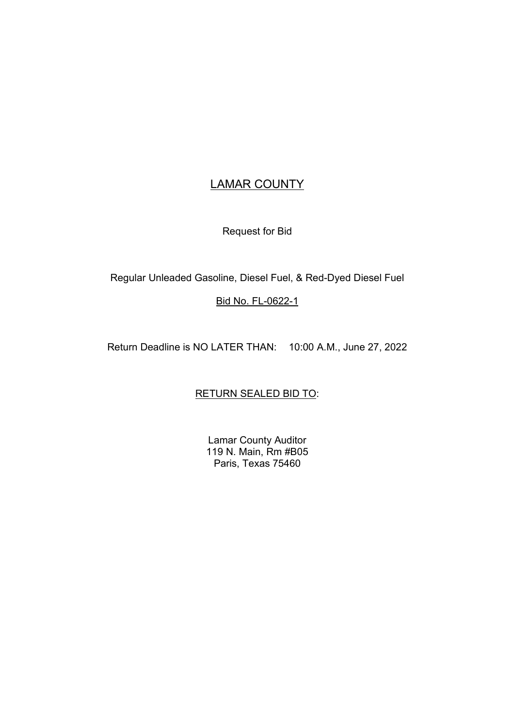# LAMAR COUNTY

Request for Bid

Regular Unleaded Gasoline, Diesel Fuel, & Red-Dyed Diesel Fuel

# Bid No. FL-0622-1

Return Deadline is NO LATER THAN: 10:00 A.M., June 27, 2022

# RETURN SEALED BID TO:

Lamar County Auditor 119 N. Main, Rm #B05 Paris, Texas 75460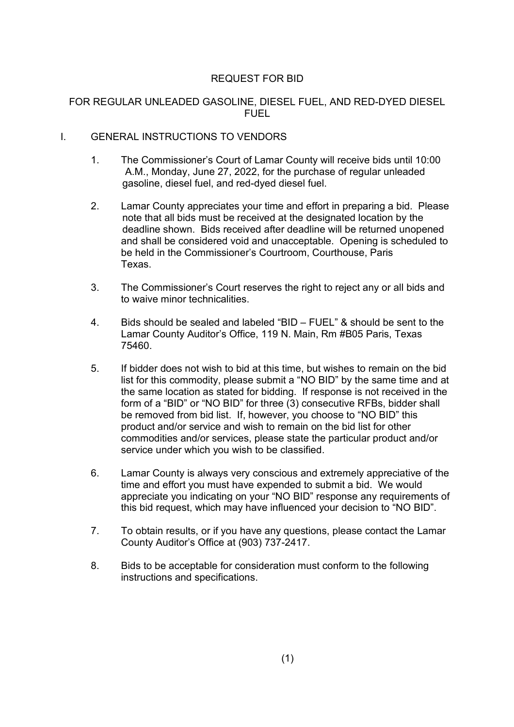# REQUEST FOR BID

# FOR REGULAR UNLEADED GASOLINE, DIESEL FUEL, AND RED-DYED DIESEL FUEL

# I. GENERAL INSTRUCTIONS TO VENDORS

- 1. The Commissioner's Court of Lamar County will receive bids until 10:00 A.M., Monday, June 27, 2022, for the purchase of regular unleaded gasoline, diesel fuel, and red-dyed diesel fuel.
- 2. Lamar County appreciates your time and effort in preparing a bid. Please note that all bids must be received at the designated location by the deadline shown. Bids received after deadline will be returned unopened and shall be considered void and unacceptable. Opening is scheduled to be held in the Commissioner's Courtroom, Courthouse, Paris Texas.
- 3. The Commissioner's Court reserves the right to reject any or all bids and to waive minor technicalities.
- 4. Bids should be sealed and labeled "BID FUEL" & should be sent to the Lamar County Auditor's Office, 119 N. Main, Rm #B05 Paris, Texas 75460.
- 5. If bidder does not wish to bid at this time, but wishes to remain on the bid list for this commodity, please submit a "NO BID" by the same time and at the same location as stated for bidding. If response is not received in the form of a "BID" or "NO BID" for three (3) consecutive RFBs, bidder shall be removed from bid list. If, however, you choose to "NO BID" this product and/or service and wish to remain on the bid list for other commodities and/or services, please state the particular product and/or service under which you wish to be classified.
- 6. Lamar County is always very conscious and extremely appreciative of the time and effort you must have expended to submit a bid. We would appreciate you indicating on your "NO BID" response any requirements of this bid request, which may have influenced your decision to "NO BID".
- 7. To obtain results, or if you have any questions, please contact the Lamar County Auditor's Office at (903) 737-2417.
- 8. Bids to be acceptable for consideration must conform to the following instructions and specifications.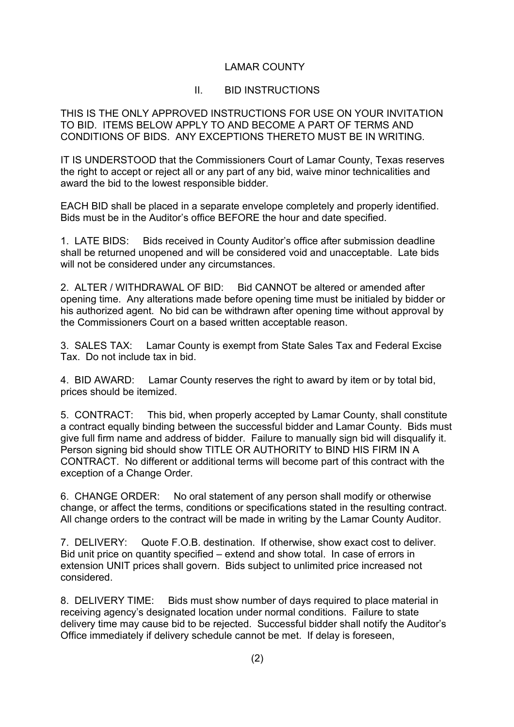# LAMAR COUNTY

# II. BID INSTRUCTIONS

THIS IS THE ONLY APPROVED INSTRUCTIONS FOR USE ON YOUR INVITATION TO BID. ITEMS BELOW APPLY TO AND BECOME A PART OF TERMS AND CONDITIONS OF BIDS. ANY EXCEPTIONS THERETO MUST BE IN WRITING.

IT IS UNDERSTOOD that the Commissioners Court of Lamar County, Texas reserves the right to accept or reject all or any part of any bid, waive minor technicalities and award the bid to the lowest responsible bidder.

EACH BID shall be placed in a separate envelope completely and properly identified. Bids must be in the Auditor's office BEFORE the hour and date specified.

1. LATE BIDS: Bids received in County Auditor's office after submission deadline shall be returned unopened and will be considered void and unacceptable. Late bids will not be considered under any circumstances.

2. ALTER / WITHDRAWAL OF BID: Bid CANNOT be altered or amended after opening time. Any alterations made before opening time must be initialed by bidder or his authorized agent. No bid can be withdrawn after opening time without approval by the Commissioners Court on a based written acceptable reason.

3. SALES TAX: Lamar County is exempt from State Sales Tax and Federal Excise Tax. Do not include tax in bid.

4. BID AWARD: Lamar County reserves the right to award by item or by total bid, prices should be itemized.

5. CONTRACT: This bid, when properly accepted by Lamar County, shall constitute a contract equally binding between the successful bidder and Lamar County. Bids must give full firm name and address of bidder. Failure to manually sign bid will disqualify it. Person signing bid should show TITLE OR AUTHORITY to BIND HIS FIRM IN A CONTRACT. No different or additional terms will become part of this contract with the exception of a Change Order.

6. CHANGE ORDER: No oral statement of any person shall modify or otherwise change, or affect the terms, conditions or specifications stated in the resulting contract. All change orders to the contract will be made in writing by the Lamar County Auditor.

7. DELIVERY: Quote F.O.B. destination. If otherwise, show exact cost to deliver. Bid unit price on quantity specified – extend and show total. In case of errors in extension UNIT prices shall govern. Bids subject to unlimited price increased not considered.

8. DELIVERY TIME: Bids must show number of days required to place material in receiving agency's designated location under normal conditions. Failure to state delivery time may cause bid to be rejected. Successful bidder shall notify the Auditor's Office immediately if delivery schedule cannot be met. If delay is foreseen,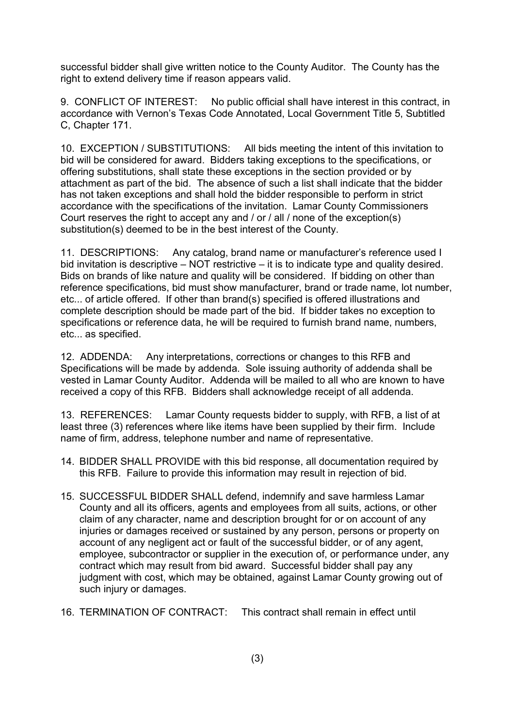successful bidder shall give written notice to the County Auditor. The County has the right to extend delivery time if reason appears valid.

9. CONFLICT OF INTEREST: No public official shall have interest in this contract, in accordance with Vernon's Texas Code Annotated, Local Government Title 5, Subtitled C, Chapter 171.

10. EXCEPTION / SUBSTITUTIONS: All bids meeting the intent of this invitation to bid will be considered for award. Bidders taking exceptions to the specifications, or offering substitutions, shall state these exceptions in the section provided or by attachment as part of the bid. The absence of such a list shall indicate that the bidder has not taken exceptions and shall hold the bidder responsible to perform in strict accordance with the specifications of the invitation. Lamar County Commissioners Court reserves the right to accept any and / or / all / none of the exception(s) substitution(s) deemed to be in the best interest of the County.

11. DESCRIPTIONS: Any catalog, brand name or manufacturer's reference used I bid invitation is descriptive – NOT restrictive – it is to indicate type and quality desired. Bids on brands of like nature and quality will be considered. If bidding on other than reference specifications, bid must show manufacturer, brand or trade name, lot number, etc... of article offered. If other than brand(s) specified is offered illustrations and complete description should be made part of the bid. If bidder takes no exception to specifications or reference data, he will be required to furnish brand name, numbers, etc... as specified.

12. ADDENDA: Any interpretations, corrections or changes to this RFB and Specifications will be made by addenda. Sole issuing authority of addenda shall be vested in Lamar County Auditor. Addenda will be mailed to all who are known to have received a copy of this RFB. Bidders shall acknowledge receipt of all addenda.

13. REFERENCES: Lamar County requests bidder to supply, with RFB, a list of at least three (3) references where like items have been supplied by their firm. Include name of firm, address, telephone number and name of representative.

- 14. BIDDER SHALL PROVIDE with this bid response, all documentation required by this RFB. Failure to provide this information may result in rejection of bid.
- 15. SUCCESSFUL BIDDER SHALL defend, indemnify and save harmless Lamar County and all its officers, agents and employees from all suits, actions, or other claim of any character, name and description brought for or on account of any injuries or damages received or sustained by any person, persons or property on account of any negligent act or fault of the successful bidder, or of any agent, employee, subcontractor or supplier in the execution of, or performance under, any contract which may result from bid award. Successful bidder shall pay any judgment with cost, which may be obtained, against Lamar County growing out of such injury or damages.
- 16. TERMINATION OF CONTRACT: This contract shall remain in effect until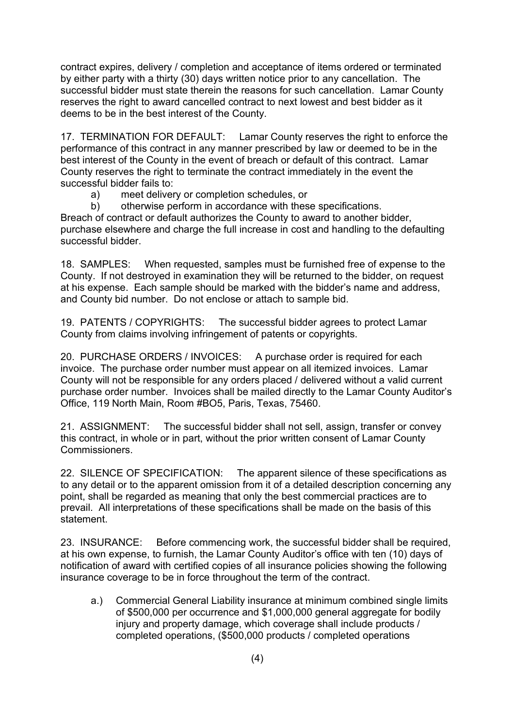contract expires, delivery / completion and acceptance of items ordered or terminated by either party with a thirty (30) days written notice prior to any cancellation. The successful bidder must state therein the reasons for such cancellation. Lamar County reserves the right to award cancelled contract to next lowest and best bidder as it deems to be in the best interest of the County.

17. TERMINATION FOR DEFAULT: Lamar County reserves the right to enforce the performance of this contract in any manner prescribed by law or deemed to be in the best interest of the County in the event of breach or default of this contract. Lamar County reserves the right to terminate the contract immediately in the event the successful bidder fails to:

- a) meet delivery or completion schedules, or
- b) otherwise perform in accordance with these specifications.

Breach of contract or default authorizes the County to award to another bidder, purchase elsewhere and charge the full increase in cost and handling to the defaulting successful bidder.

18. SAMPLES: When requested, samples must be furnished free of expense to the County. If not destroyed in examination they will be returned to the bidder, on request at his expense. Each sample should be marked with the bidder's name and address, and County bid number. Do not enclose or attach to sample bid.

19. PATENTS / COPYRIGHTS: The successful bidder agrees to protect Lamar County from claims involving infringement of patents or copyrights.

20. PURCHASE ORDERS / INVOICES: A purchase order is required for each invoice. The purchase order number must appear on all itemized invoices. Lamar County will not be responsible for any orders placed / delivered without a valid current purchase order number. Invoices shall be mailed directly to the Lamar County Auditor's Office, 119 North Main, Room #BO5, Paris, Texas, 75460.

21. ASSIGNMENT: The successful bidder shall not sell, assign, transfer or convey this contract, in whole or in part, without the prior written consent of Lamar County Commissioners.

22. SILENCE OF SPECIFICATION: The apparent silence of these specifications as to any detail or to the apparent omission from it of a detailed description concerning any point, shall be regarded as meaning that only the best commercial practices are to prevail. All interpretations of these specifications shall be made on the basis of this statement.

23. INSURANCE: Before commencing work, the successful bidder shall be required, at his own expense, to furnish, the Lamar County Auditor's office with ten (10) days of notification of award with certified copies of all insurance policies showing the following insurance coverage to be in force throughout the term of the contract.

a.) Commercial General Liability insurance at minimum combined single limits of \$500,000 per occurrence and \$1,000,000 general aggregate for bodily injury and property damage, which coverage shall include products / completed operations, (\$500,000 products / completed operations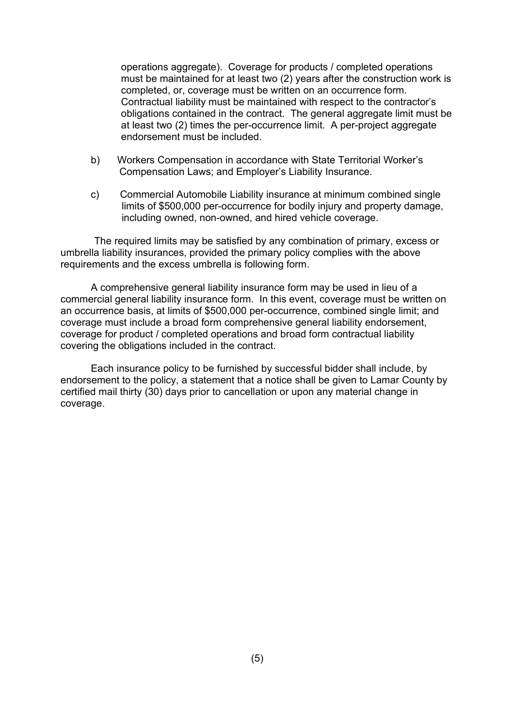operations aggregate). Coverage for products / completed operations must be maintained for at least two (2) years after the construction work is completed, or, coverage must be written on an occurrence form. Contractual liability must be maintained with respect to the contractor's obligations contained in the contract. The general aggregate limit must be at least two (2) times the per-occurrence limit. A per-project aggregate endorsement must be included.

- b) Workers Compensation in accordance with State Territorial Worker's Compensation Laws; and Employer's Liability Insurance.
- c) Commercial Automobile Liability insurance at minimum combined single limits of \$500,000 per-occurrence for bodily injury and property damage, including owned, non-owned, and hired vehicle coverage.

The required limits may be satisfied by any combination of primary, excess or umbrella liability insurances, provided the primary policy complies with the above requirements and the excess umbrella is following form.

A comprehensive general liability insurance form may be used in lieu of a commercial general liability insurance form. In this event, coverage must be written on an occurrence basis, at limits of \$500,000 per-occurrence, combined single limit; and coverage must include a broad form comprehensive general liability endorsement, coverage for product / completed operations and broad form contractual liability covering the obligations included in the contract.

Each insurance policy to be furnished by successful bidder shall include, by endorsement to the policy, a statement that a notice shall be given to Lamar County by certified mail thirty (30) days prior to cancellation or upon any material change in coverage.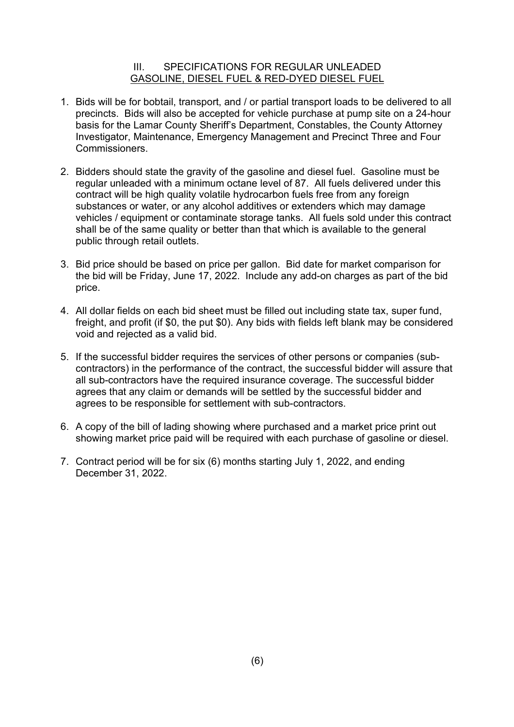### III. SPECIFICATIONS FOR REGULAR UNLEADED GASOLINE, DIESEL FUEL & RED-DYED DIESEL FUEL

- 1. Bids will be for bobtail, transport, and / or partial transport loads to be delivered to all precincts. Bids will also be accepted for vehicle purchase at pump site on a 24-hour basis for the Lamar County Sheriff's Department, Constables, the County Attorney Investigator, Maintenance, Emergency Management and Precinct Three and Four Commissioners.
- 2. Bidders should state the gravity of the gasoline and diesel fuel. Gasoline must be regular unleaded with a minimum octane level of 87. All fuels delivered under this contract will be high quality volatile hydrocarbon fuels free from any foreign substances or water, or any alcohol additives or extenders which may damage vehicles / equipment or contaminate storage tanks. All fuels sold under this contract shall be of the same quality or better than that which is available to the general public through retail outlets.
- 3. Bid price should be based on price per gallon. Bid date for market comparison for the bid will be Friday, June 17, 2022. Include any add-on charges as part of the bid price.
- 4. All dollar fields on each bid sheet must be filled out including state tax, super fund, freight, and profit (if \$0, the put \$0). Any bids with fields left blank may be considered void and rejected as a valid bid.
- 5. If the successful bidder requires the services of other persons or companies (subcontractors) in the performance of the contract, the successful bidder will assure that all sub-contractors have the required insurance coverage. The successful bidder agrees that any claim or demands will be settled by the successful bidder and agrees to be responsible for settlement with sub-contractors.
- 6. A copy of the bill of lading showing where purchased and a market price print out showing market price paid will be required with each purchase of gasoline or diesel.
- 7. Contract period will be for six (6) months starting July 1, 2022, and ending December 31, 2022.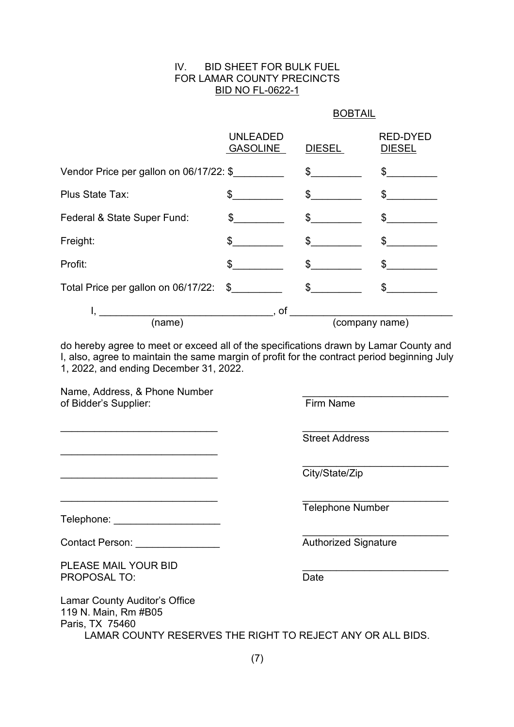#### IV. BID SHEET FOR BULK FUEL FOR LAMAR COUNTY PRECINCTS BID NO FL-0622-1

#### BOBTAIL

|                                         | <b>UNLEADED</b><br><b>GASOLINE</b> | <b>DIESEL</b>  | <b>RED-DYED</b><br><b>DIESEL</b> |
|-----------------------------------------|------------------------------------|----------------|----------------------------------|
| Vendor Price per gallon on 06/17/22: \$ |                                    | $\frac{1}{2}$  | $\frac{1}{2}$                    |
| Plus State Tax:                         | $\frac{1}{2}$                      | $\frac{1}{2}$  | \$                               |
| Federal & State Super Fund:             | $\mathbb{S}$                       | $\frac{1}{2}$  | \$                               |
| Freight:                                | \$                                 | \$             | \$                               |
| Profit:                                 | $\mathfrak s$                      | $\frac{1}{2}$  | \$                               |
| Total Price per gallon on 06/17/22:     | $\sim$                             | $\mathbb{S}^-$ |                                  |
|                                         | , of                               |                |                                  |
| (name)                                  |                                    | (company name) |                                  |

do hereby agree to meet or exceed all of the specifications drawn by Lamar County and I, also, agree to maintain the same margin of profit for the contract period beginning July 1, 2022, and ending December 31, 2022.

 $\overline{\phantom{a}}$  , and the contribution of the contribution of  $\overline{\phantom{a}}$  , and  $\overline{\phantom{a}}$  , and  $\overline{\phantom{a}}$  , and  $\overline{\phantom{a}}$ 

Name, Address, & Phone Number<br>
of Bidder's Supplier:<br>
Firm Name of Bidder's Supplier:

\_\_\_\_\_\_\_\_\_\_\_\_\_\_\_\_\_\_\_\_\_\_\_\_\_\_\_\_

\_\_\_\_\_\_\_\_\_\_\_\_\_\_\_\_\_\_\_\_\_\_\_\_\_\_\_\_ \_\_\_\_\_\_\_\_\_\_\_\_\_\_\_\_\_\_\_\_\_\_\_\_\_\_

Street Address

\_\_\_\_\_\_\_\_\_\_\_\_\_\_\_\_\_\_\_\_\_\_\_\_\_\_ City/State/Zip

Telephone Number

\_\_\_\_\_\_\_\_\_\_\_\_\_\_\_\_\_\_\_\_\_\_\_\_\_\_

Telephone: \_\_\_\_\_\_\_\_\_\_\_\_\_\_\_\_\_\_\_

Contact Person: example and the contact Person: example and the contract Person: example and the contract Person

PLEASE MAIL YOUR BID PROPOSAL TO: Date Date Date Date

Lamar County Auditor's Office 119 N. Main, Rm #B05 Paris, TX 75460 LAMAR COUNTY RESERVES THE RIGHT TO REJECT ANY OR ALL BIDS.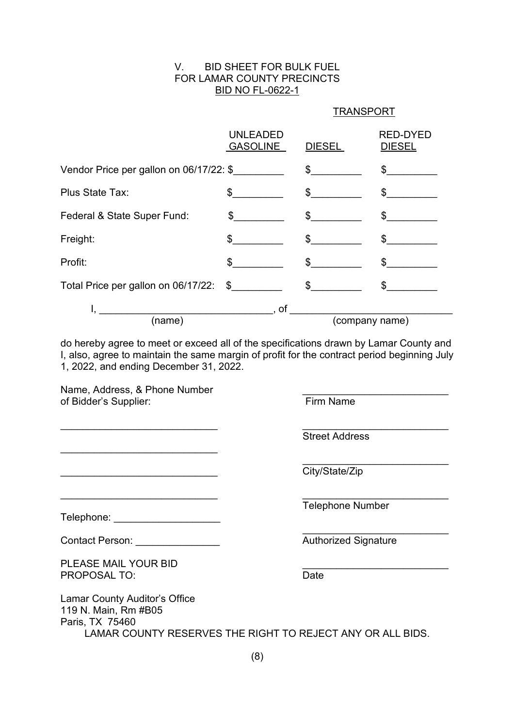#### V. BID SHEET FOR BULK FUEL FOR LAMAR COUNTY PRECINCTS BID NO FL-0622-1

#### **TRANSPORT**

|                                         | <b>UNLEADED</b><br><b>GASOLINE</b> | <b>DIESEL</b>  | <b>RED-DYED</b><br><b>DIESEL</b> |
|-----------------------------------------|------------------------------------|----------------|----------------------------------|
| Vendor Price per gallon on 06/17/22: \$ |                                    | $\frac{1}{2}$  | $\frac{1}{2}$                    |
| Plus State Tax:                         | $\frac{1}{2}$                      | $\frac{1}{2}$  | $\frac{1}{2}$                    |
| Federal & State Super Fund:             | $\mathfrak s$                      | $\mathfrak s$  | \$                               |
| Freight:                                | \$                                 | $\sim$         | \$                               |
| Profit:                                 | $\mathfrak s$                      | $\frac{1}{2}$  | $\mathbb{S}$                     |
| Total Price per gallon on 06/17/22:     | $\mathfrak s$                      | $\mathfrak s$  | \$                               |
|                                         | , of                               |                |                                  |
| (name)                                  |                                    | (company name) |                                  |

do hereby agree to meet or exceed all of the specifications drawn by Lamar County and I, also, agree to maintain the same margin of profit for the contract period beginning July 1, 2022, and ending December 31, 2022.

 $\overline{\phantom{a}}$  , and the contribution of the contribution of  $\overline{\phantom{a}}$  , and  $\overline{\phantom{a}}$  , and  $\overline{\phantom{a}}$  , and  $\overline{\phantom{a}}$ 

Name, Address, & Phone Number of Bidder's Supplier: Firm Name

 $\overline{\phantom{a}}$  , where  $\overline{\phantom{a}}$  , where  $\overline{\phantom{a}}$  , where  $\overline{\phantom{a}}$ 

Telephone: \_\_\_\_\_\_\_\_\_\_\_\_\_\_\_\_\_\_\_\_\_\_\_\_

 $\overline{\phantom{a}}$  , and the contribution of the contribution of  $\overline{\phantom{a}}$  , and  $\overline{\phantom{a}}$  , and  $\overline{\phantom{a}}$  , and  $\overline{\phantom{a}}$ Street Address

 $City/State/Zip$ 

Telephone Number

\_\_\_\_\_\_\_\_\_\_\_\_\_\_\_\_\_\_\_\_\_\_\_\_\_\_

 $\mathcal{L}_\text{max}$  , where  $\mathcal{L}_\text{max}$  , we have the set of the set of the set of the set of the set of the set of the set of the set of the set of the set of the set of the set of the set of the set of the set of the set of Contact Person: \_\_\_\_\_\_\_\_\_\_\_\_\_\_\_ Authorized Signature

PLEASE MAIL YOUR BID PROPOSAL TO: Date Date Date Date

Lamar County Auditor's Office 119 N. Main, Rm #B05 Paris, TX 75460 LAMAR COUNTY RESERVES THE RIGHT TO REJECT ANY OR ALL BIDS.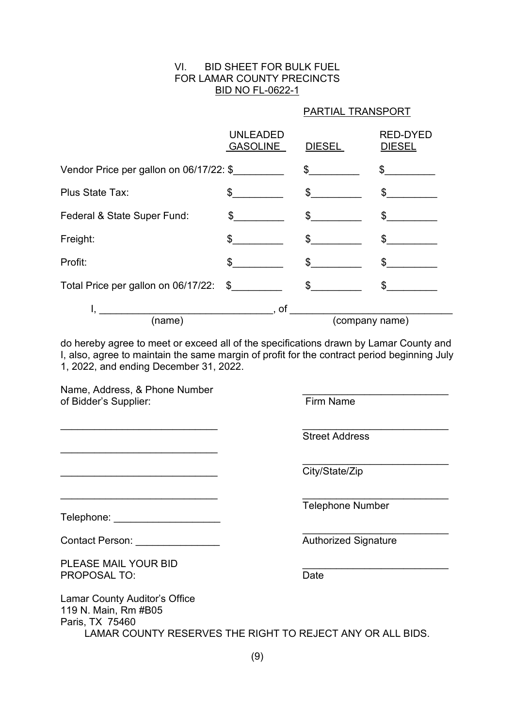#### VI. BID SHEET FOR BULK FUEL FOR LAMAR COUNTY PRECINCTS BID NO FL-0622-1

### PARTIAL TRANSPORT

|                                         | <b>UNLEADED</b><br><b>GASOLINE</b> | <b>DIESEL</b>  | <b>RED-DYED</b><br><b>DIESEL</b> |
|-----------------------------------------|------------------------------------|----------------|----------------------------------|
| Vendor Price per gallon on 06/17/22: \$ |                                    | $\frac{1}{2}$  | $\frac{1}{2}$                    |
| Plus State Tax:                         | $\frac{1}{2}$                      | $\frac{1}{2}$  | $\frac{1}{2}$                    |
| Federal & State Super Fund:             | $\sim$                             | $\frac{1}{2}$  | $\mathfrak{S}$                   |
| Freight:                                | \$                                 | $\sim$         | \$                               |
| Profit:                                 | $\frac{1}{2}$                      | $\frac{1}{2}$  | $\sim$                           |
| Total Price per gallon on 06/17/22:     | $\mathcal{S}$                      | $\frac{1}{2}$  | \$                               |
|                                         | , of                               |                |                                  |
| (name)                                  |                                    | (company name) |                                  |

do hereby agree to meet or exceed all of the specifications drawn by Lamar County and I, also, agree to maintain the same margin of profit for the contract period beginning July 1, 2022, and ending December 31, 2022.

 $\overline{\phantom{a}}$  , and the contribution of the contribution of  $\overline{\phantom{a}}$  , and  $\overline{\phantom{a}}$  , and  $\overline{\phantom{a}}$  , and  $\overline{\phantom{a}}$ 

Name, Address, & Phone Number of Bidder's Supplier: Firm Name

 $\overline{\phantom{a}}$  , where  $\overline{\phantom{a}}$  , where  $\overline{\phantom{a}}$  , where  $\overline{\phantom{a}}$ 

Telephone: \_\_\_\_\_\_\_\_\_\_\_\_\_\_\_\_\_\_\_\_\_\_\_\_

 $\overline{\phantom{a}}$  , and the contribution of the contribution of  $\overline{\phantom{a}}$  , and  $\overline{\phantom{a}}$  , and  $\overline{\phantom{a}}$  , and  $\overline{\phantom{a}}$ Street Address

 $City/State/Zip$ 

Telephone Number

\_\_\_\_\_\_\_\_\_\_\_\_\_\_\_\_\_\_\_\_\_\_\_\_\_\_

 $\mathcal{L}_\text{max}$  , where  $\mathcal{L}_\text{max}$  , we have the set of the set of the set of the set of the set of the set of the set of the set of the set of the set of the set of the set of the set of the set of the set of the set of Contact Person: \_\_\_\_\_\_\_\_\_\_\_\_\_\_\_ Authorized Signature

PLEASE MAIL YOUR BID PROPOSAL TO: Date Date Date Date

Lamar County Auditor's Office 119 N. Main, Rm #B05 Paris, TX 75460 LAMAR COUNTY RESERVES THE RIGHT TO REJECT ANY OR ALL BIDS.